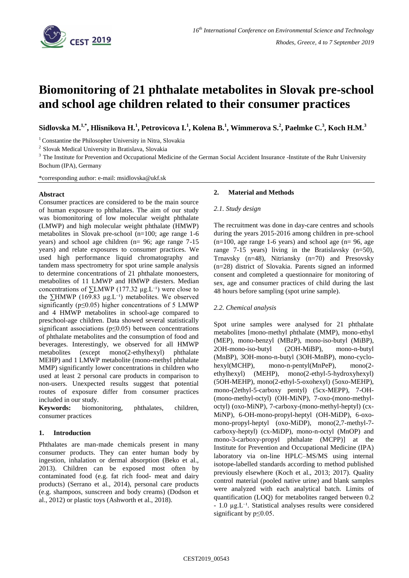

# **Biomonitoring of 21 phthalate metabolites in Slovak pre-school and school age children related to their consumer practices**

**Sidlovska M.1,\*, Hlisnikova H.<sup>1</sup> , Petrovicova I.<sup>1</sup> , Kolena B.<sup>1</sup> , Wimmerova S.<sup>2</sup> , Paelmke C.<sup>3</sup> , Koch H.M.<sup>3</sup>**

<sup>1</sup> Constantine the Philosopher University in Nitra, Slovakia

2 Slovak Medical University in Bratislava, Slovakia

<sup>3</sup> The Institute for Prevention and Occupational Medicine of the German Social Accident Insurance -Institute of the Ruhr University Bochum (IPA), Germany

\*corresponding author: e-mail: msidlovska@ukf.sk

### **Abstract**

Consumer practices are considered to be the main source of human exposure to phthalates. The aim of our study was biomonitoring of low molecular weight phthalate (LMWP) and high molecular weight phthalate (HMWP) metabolites in Slovak pre-school (n=100; age range 1-6 years) and school age children (n= 96; age range 7-15 years) and relate exposures to consumer practices. We used high performance liquid chromatography and tandem mass spectrometry for spot urine sample analysis to determine concentrations of 21 phthalate monoesters, metabolites of 11 LMWP and HMWP diesters. Median concentrations of  $\Sigma LMWP$  (177.32 µg.L<sup>-1</sup>) were close to the ∑HMWP (169.83 µg.L<sup>-1</sup>) metabolites. We observed significantly (p≤0.05) higher concentrations of 5 LMWP and 4 HMWP metabolites in school-age compared to preschool-age children. Data showed several statistically significant associations (p≤0.05) between concentrations of phthalate metabolites and the consumption of food and beverages. Interestingly, we observed for all HMWP metabolites (except mono(2-ethylhexyl) phthalate MEHP) and 1 LMWP metabolite (mono-methyl phthalate MMP) significantly lower concentrations in children who used at least 2 personal care products in comparison to non-users. Unexpected results suggest that potential routes of exposure differ from consumer practices included in our study.

**Keywords:** biomonitoring, phthalates, children, consumer practices

## **1. Introduction**

Phthalates are man-made chemicals present in many consumer products. They can enter human body by ingestion, inhalation or dermal absorption (Beko et al., 2013). Children can be exposed most often by contaminated food (e.g. fat rich food- meat and dairy products) (Serrano et al., 2014), personal care products (e.g. shampoos, sunscreen and body creams) (Dodson et al., 2012) or plastic toys (Ashworth et al., 2018).

## **2. Material and Methods**

### *2.1. Study design*

The recruitment was done in day-care centres and schools during the years 2015-2016 among children in pre-school  $(n=100,$  age range 1-6 years) and school age  $(n=96,$  age range 7-15 years) living in the Bratislavsky (n=50), Trnavsky (n=48), Nitriansky (n=70) and Presovsky (n=28) district of Slovakia. Parents signed an informed consent and completed a questionnaire for monitoring of sex, age and consumer practices of child during the last 48 hours before sampling (spot urine sample).

### *2.2. Chemical analysis*

Spot urine samples were analysed for 21 phthalate metabolites [mono-methyl phthalate (MMP), mono-ethyl (MEP), mono-benzyl (MBzP), mono-iso-butyl (MiBP), 2OH-mono-iso-butyl (2OH-MiBP), mono-n-butyl (MnBP), 3OH-mono-n-butyl (3OH-MnBP), mono-cyclohexyl(MCHP), mono-n-pentyl(MnPeP), mono(2 ethylhexyl) (MEHP), mono(2-ethyl-5-hydroxyhexyl) (5OH-MEHP), mono(2-ethyl-5-oxohexyl) (5oxo-MEHP), mono-(2ethyl-5-carboxy pentyl) (5cx-MEPP), 7-OH- (mono-methyl-octyl) (OH-MiNP), 7-oxo-(mono-methyloctyl) (oxo-MiNP), 7-carboxy-(mono-methyl-heptyl) (cx-MiNP), 6-OH-mono-propyl-heptyl (OH-MiDP), 6-oxomono-propyl-heptyl (oxo-MiDP), mono(2,7-methyl-7 carboxy-heptyl) (cx-MiDP), mono-n-octyl (MnOP) and mono-3-carboxy-propyl phthalate (MCPP)] at the Institute for Prevention and Occupational Medicine (IPA) laboratory via on-line HPLC–MS/MS using internal isotope-labelled standards according to method published previously elsewhere (Koch et al., 2013; 2017). Quality control material (pooled native urine) and blank samples were analyzed with each analytical batch. Limits of quantification (LOQ) for metabolites ranged between 0.2  $-1.0 \mu$ g. L<sup>-1</sup>. Statistical analyses results were considered significant by p≤0.05.